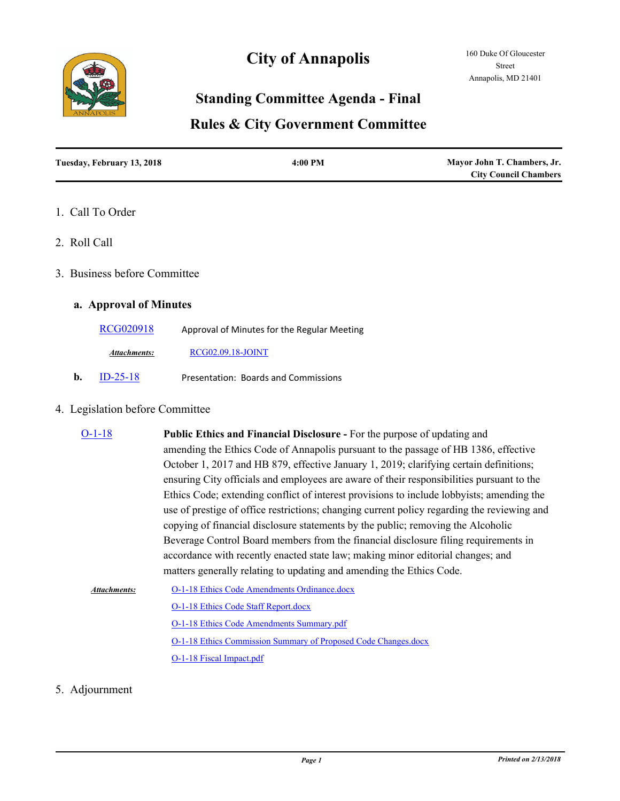

# **City of Annapolis**

## **Standing Committee Agenda - Final**

### **Rules & City Government Committee**

| Tuesday, February 13, 2018 | $4:00$ PM | Mayor John T. Chambers, Jr.  |
|----------------------------|-----------|------------------------------|
|                            |           | <b>City Council Chambers</b> |

#### 1. Call To Order

2. Roll Call

#### 3. Business before Committee

#### **a. Approval of Minutes**

[RCG020918](http://annapolismd.legistar.com/gateway.aspx?m=l&id=/matter.aspx?key=3527) Approval of Minutes for the Regular Meeting

*Attachments:* [RCG02.09.18-JOINT](http://annapolismd.legistar.com/gateway.aspx?M=F&ID=cc55790f-5407-408f-b44d-edd51952162c.pdf)

**b.** [ID-25-18](http://annapolismd.legistar.com/gateway.aspx?m=l&id=/matter.aspx?key=3492) Presentation: Boards and Commissions

#### 4. Legislation before Committee

| $O-1-18$     | <b>Public Ethics and Financial Disclosure - For the purpose of updating and</b>             |  |
|--------------|---------------------------------------------------------------------------------------------|--|
|              | amending the Ethics Code of Annapolis pursuant to the passage of HB 1386, effective         |  |
|              | October 1, 2017 and HB 879, effective January 1, 2019; clarifying certain definitions;      |  |
|              | ensuring City officials and employees are aware of their responsibilities pursuant to the   |  |
|              | Ethics Code; extending conflict of interest provisions to include lobbyists; amending the   |  |
|              | use of prestige of office restrictions; changing current policy regarding the reviewing and |  |
|              | copying of financial disclosure statements by the public; removing the Alcoholic            |  |
|              | Beverage Control Board members from the financial disclosure filing requirements in         |  |
|              | accordance with recently enacted state law; making minor editorial changes; and             |  |
|              | matters generally relating to updating and amending the Ethics Code.                        |  |
| Attachments: | O-1-18 Ethics Code Amendments Ordinance.docx                                                |  |

[O-1-18 Ethics Code Staff Report.docx](http://annapolismd.legistar.com/gateway.aspx?M=F&ID=0468036d-8efc-4a63-888f-671e70025b04.docx) [O-1-18 Ethics Code Amendments Summary.pdf](http://annapolismd.legistar.com/gateway.aspx?M=F&ID=e6a678eb-1c59-4979-ba39-a52503eefa6d.pdf) [O-1-18 Ethics Commission Summary of Proposed Code Changes.docx](http://annapolismd.legistar.com/gateway.aspx?M=F&ID=8dd8ac2f-4026-488e-b369-3d5a1068a584.docx) [O-1-18 Fiscal Impact.pdf](http://annapolismd.legistar.com/gateway.aspx?M=F&ID=302b3bf2-0957-4753-ab3b-7f86c084823a.pdf)

#### 5. Adjournment